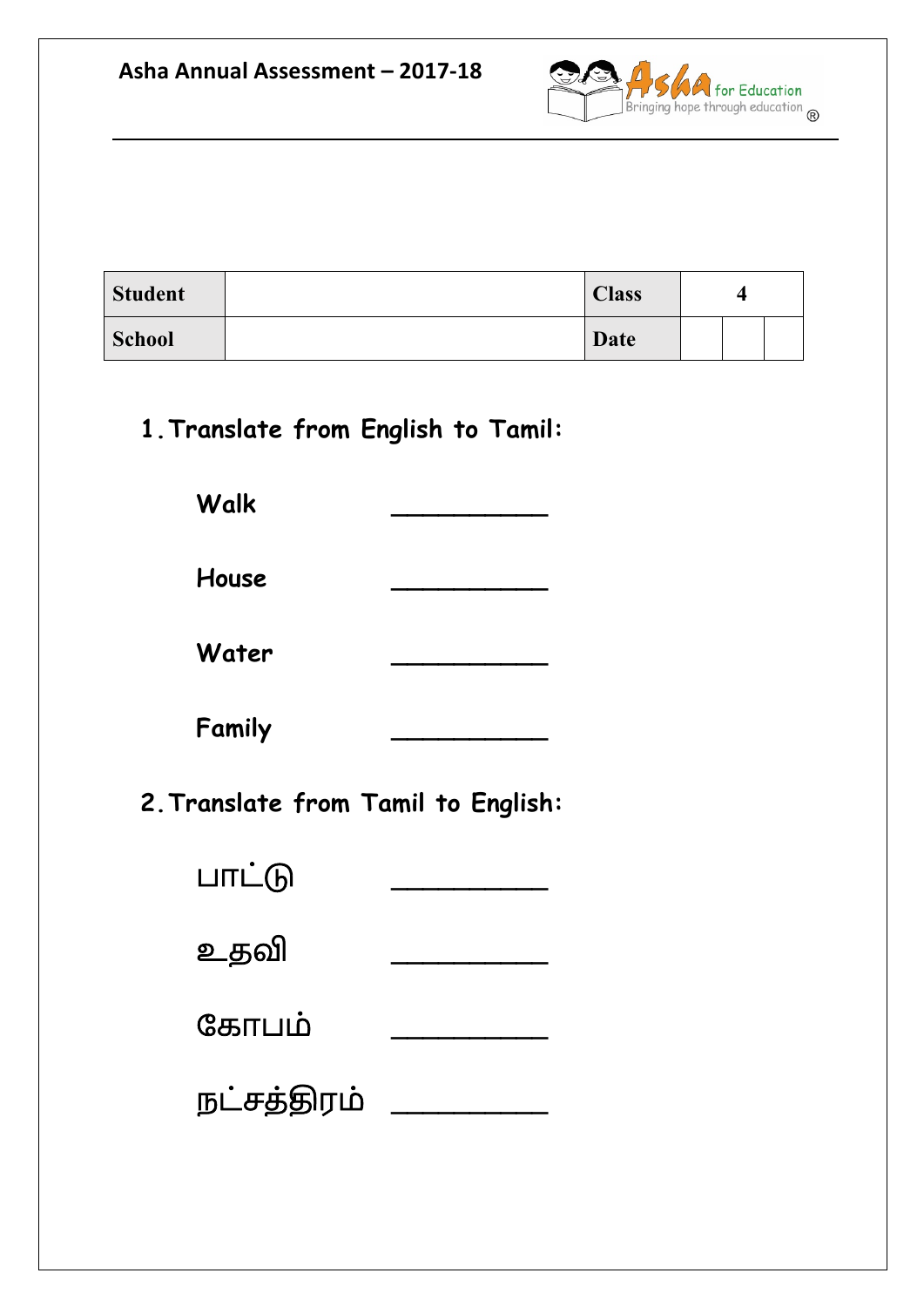

| <b>Student</b> | <b>Class</b> | 4 |
|----------------|--------------|---|
| <b>School</b>  | Date         |   |

**1.Translate from English to Tamil:**

**Walk \_\_\_\_\_\_\_\_\_\_**

**House \_\_\_\_\_\_\_\_\_\_**

**Water \_\_\_\_\_\_\_\_\_\_**

**Family \_\_\_\_\_\_\_\_\_\_**

**2.Translate from Tamil to English:**

| பாட்டு      |  |
|-------------|--|
| உதவி        |  |
| கோபம்       |  |
| நட்சத்திரம் |  |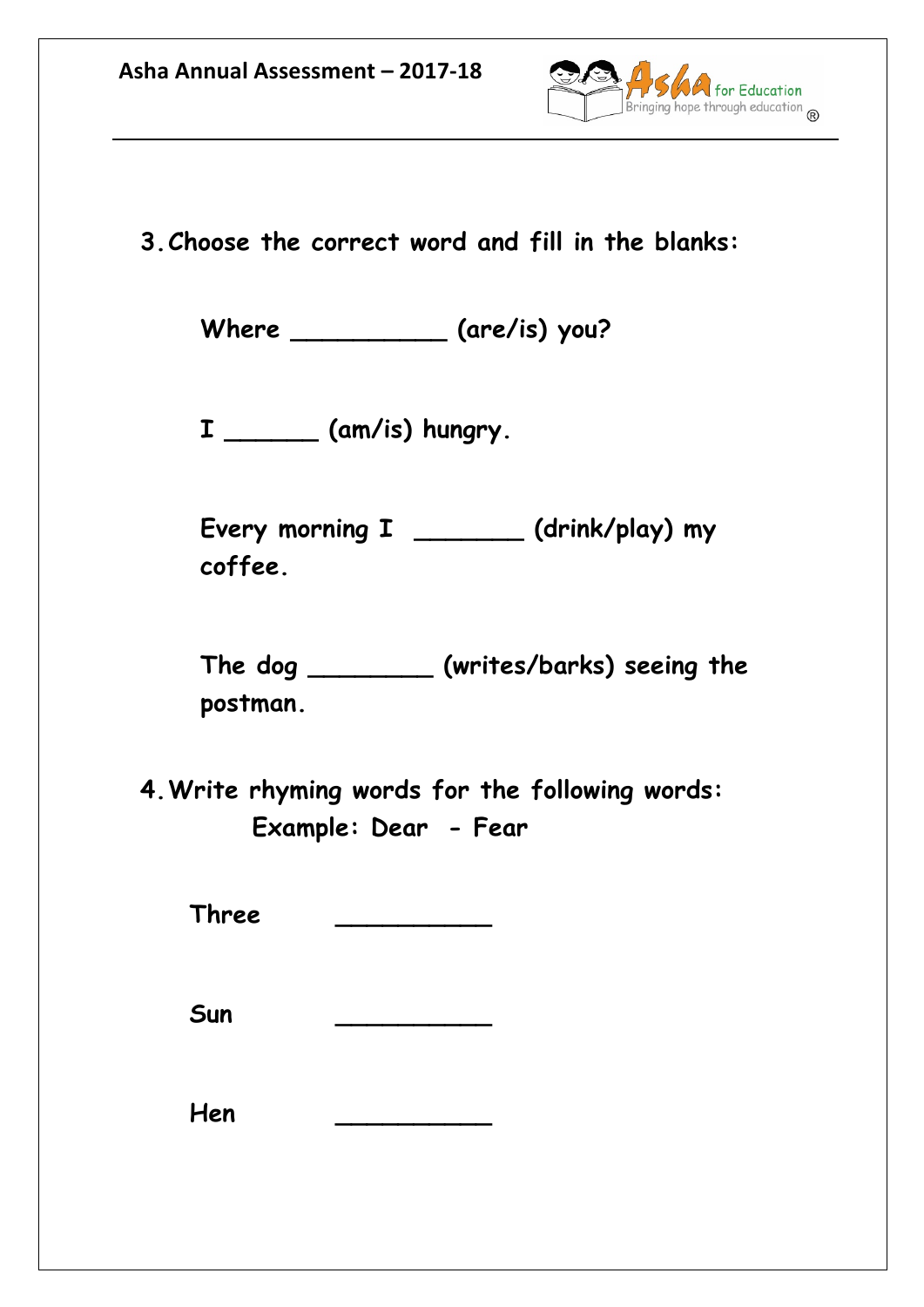

**3.Choose the correct word and fill in the blanks:**

**Where \_\_\_\_\_\_\_\_\_\_ (are/is) you?**

**I \_\_\_\_\_\_ (am/is) hungry.**

**Every morning I \_\_\_\_\_\_\_ (drink/play) my coffee.**

**The dog \_\_\_\_\_\_\_\_ (writes/barks) seeing the postman.**

**4.Write rhyming words for the following words: Example: Dear - Fear**

**Three \_\_\_\_\_\_\_\_\_\_**

**Sun \_\_\_\_\_\_\_\_\_\_**

**Hen \_\_\_\_\_\_\_\_\_\_**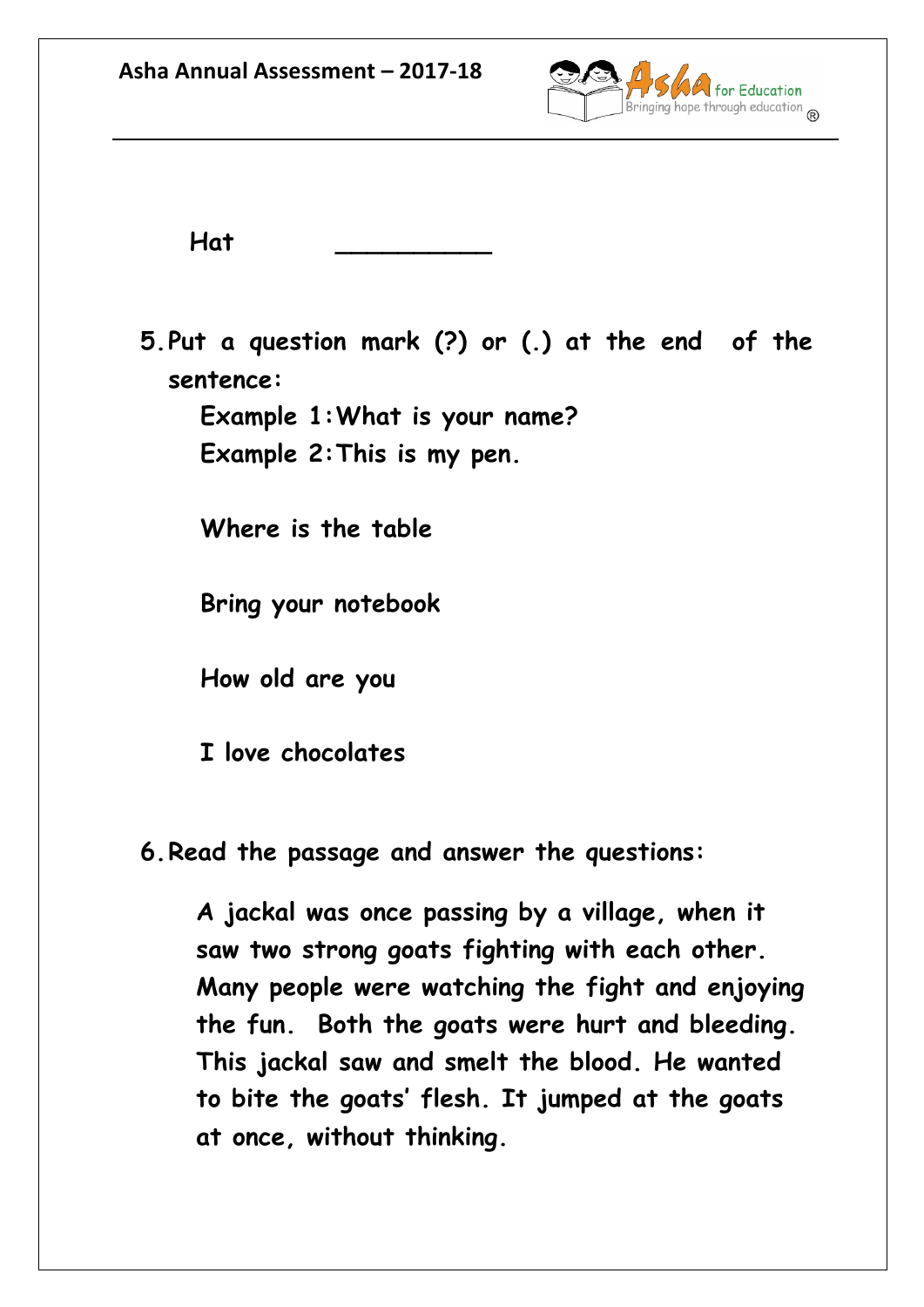

**Hat \_\_\_\_\_\_\_\_\_\_**

**5.Put a question mark (?) or (.) at the end of the sentence:**

**Example 1:What is your name? Example 2:This is my pen.** 

**Where is the table**

**Bring your notebook**

**How old are you**

**I love chocolates**

**6.Read the passage and answer the questions:**

**A jackal was once passing by a village, when it saw two strong goats fighting with each other. Many people were watching the fight and enjoying the fun. Both the goats were hurt and bleeding. This jackal saw and smelt the blood. He wanted to bite the goats' flesh. It jumped at the goats at once, without thinking.**